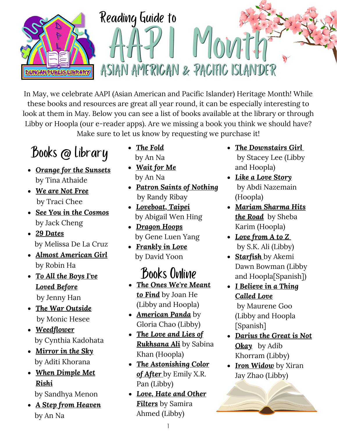

In May, we celebrate AAPI (Asian American and Pacific Islander) Heritage Month! While these books and resources are great all year round, it can be especially interesting to look at them in May. Below you can see a list of books available at the library or through Libby or Hoopla (our e-reader apps). Are we missing a book you think we should have? Make sure to let us know by requesting we purchase it!

## Books @ Library

- *Orange for the [Sunsets](http://search.lib.cityofduncan.com:8080/?config=ysm#section=resource&resourceid=751079741¤tIndex=0&view=fullDetailsDetailsTab)* by Tina Athaide
- *We are Not [Free](http://search.lib.cityofduncan.com:8080/?config=ysm#section=resource&resourceid=1100752622¤tIndex=0&view=fullDetailsDetailsTab)* by Traci Chee
- *See You in the [Cosmos](http://search.lib.cityofduncan.com:8080/?config=ysm#section=search&term=See%20You%20in%20the%20Cosmos%20jack%20cheng&page=0&sortKey=Relevancy&db=ls2pac&branchFilters=[%221%22]&facetFilters=[])* by Jack Cheng
- *29 [Dates](http://search.lib.cityofduncan.com:8080/?config=ysm#section=resource&resourceid=486179584¤tIndex=0&view=fullDetailsDetailsTab)* by Melissa De La Cruz
- *Almost [American](http://search.lib.cityofduncan.com:8080/?config=ysm#section=resource&resourceid=894197615¤tIndex=0&view=fullDetailsDetailsTab) Girl* by Robin Ha
- *To All the Boys I've Loved [Before](http://search.lib.cityofduncan.com:8080/?config=ysm#section=search&term=To%20All%20the%20Boys%20I)* by Jenny Han
- *The War [Outside](http://search.lib.cityofduncan.com:8080/?config=ysm#section=search&term=The%20War%20Outside%20monica%20hesse&page=0&sortKey=Relevancy&db=ls2pac&branchFilters=[%221%22]&facetFilters=[])* by Monic Hesee
- *[Weedflower](http://search.lib.cityofduncan.com:8080/?config=ysm#section=resource&resourceid=623539¤tIndex=0&view=fullDetailsDetailsTab)* by Cynthia Kadohata
- *[Mirror](http://search.lib.cityofduncan.com:8080/?config=ysm#section=search&term=Mirror%20in%20the%20Sky%20khorana&page=0&sortKey=Relevancy&db=ls2pac&branchFilters=[%221%22]&facetFilters=[]) in the Sky* by Aditi Khorana
- *When [Dimple](http://search.lib.cityofduncan.com:8080/?config=ysm#section=resource&resourceid=380249026¤tIndex=0&view=fullDetailsDetailsTab) Met Rishi*

by Sandhya Menon

*A Step from [Heaven](http://search.lib.cityofduncan.com:8080/?config=ysm#section=resource&resourceid=637209¤tIndex=0&view=fullDetailsDetailsTab)* by An Na

- *The [Fold](http://search.lib.cityofduncan.com:8080/?config=ysm#section=resource&resourceid=1152058¤tIndex=0&view=fullDetailsDetailsTab)* by An Na
- *[Wait](http://search.lib.cityofduncan.com:8080/?config=ysm#section=resource&resourceid=846992¤tIndex=0&view=fullDetailsDetailsTab) for Me* by An Na
- *Patron Saints of [Nothing](http://search.lib.cityofduncan.com:8080/?config=ysm#section=resource&resourceid=751077080¤tIndex=0&view=fullDetailsDetailsTab)* by Randy Ribay
- *[Loveboat,](http://search.lib.cityofduncan.com:8080/?config=ysm#section=resource&resourceid=723182821¤tIndex=0&view=fullDetailsDetailsTab) Taipei* by Abigail Wen Hing
- *[Dragon](http://search.lib.cityofduncan.com:8080/?config=ysm#section=resource&resourceid=893208080¤tIndex=0&view=fullDetailsDetailsTab) Hoops* by Gene Luen Yang
- *[Frankly](http://search.lib.cityofduncan.com:8080/?config=ysm#section=resource&resourceid=831479786¤tIndex=0&view=fullDetailsDetailsTab) in Love* by David Yoon

### Books Online

- *The Ones We're [Meant](http://search.lib.cityofduncan.com:8080/?config=ysm#section=search&term=the%20ones%20we) to Find* by Joan He (Libby and Hoopla)
- *[American](http://search.lib.cityofduncan.com:8080/?config=ysm#section=resource&resourceid=408732244¤tIndex=0&view=fullDetailsDetailsTab) Panda* by Gloria Chao (Libby)
- *The Love and Lies of [Rukhsana](http://search.lib.cityofduncan.com:8080/?config=ysm#section=resource&resourceid=512572082¤tIndex=0&view=fullDetailsDetailsTab) Ali* by Sabina Khan (Hoopla)
- *The [Astonishing](http://search.lib.cityofduncan.com:8080/?config=ysm#section=resource&resourceid=421800564¤tIndex=0&view=fullDetailsDetailsTab) Color of After* [b](http://search.lib.cityofduncan.com:8080/?config=ysm#section=resource&resourceid=421800564¤tIndex=0&view=fullDetailsDetailsTab)y Emily X.R. Pan (Libby)
- *Love, Hate and Other Filters* by [Samira](http://search.lib.cityofduncan.com:8080/?config=ysm#section=resource&resourceid=435814101¤tIndex=0&view=fullDetailsDetailsTab) Ahmed (Libby)
- *The [Downstairs](https://okvirtuallibrary.overdrive.com/okvirtual-duncan/content/search?query=The+Downstairs+Girl+) Gir[l](https://okvirtuallibrary.overdrive.com/okvirtual-duncan/content/search?query=The+Downstairs+Girl+)* by Stacey Lee (Libby and Hoopla)
- *Like a Love [Story](https://www.hoopladigital.com/search?q=like+a+love+story+nazemian&page=1&scope=everything&type=direct)* by Abdi Nazemain (Hoopla)
- *[Mariam](https://www.hoopladigital.com/title/12064110) Sharma Hits the Road* by Sheba Karim (Hoopla)
- *Love [from](https://okvirtuallibrary.overdrive.com/okvirtual-duncan/content/media/4501040) A to [Z](https://okvirtuallibrary.overdrive.com/okvirtual-duncan/content/media/4501040)* by S.K. Ali (Libby)
- *[Starfish](https://okvirtuallibrary.overdrive.com/okvirtual-duncan/content/media/3249642)* by Akemi Dawn Bowman (Libby and Hoopla[Spanish])

*I [Believe](https://okvirtuallibrary.overdrive.com/okvirtual-duncan/content/media/3027746) in a Thing Called Love* by Maurene Goo (Libby and Hoopla [Spanish]

- *[Darius](http://search.lib.cityofduncan.com:8080/?config=ysm#section=search&term=Darius%20the%20Great%20is%20Not%20Okay&page=0&sortKey=Relevancy&db=ls2pac&branchFilters=[%221%22]&facetFilters=[]) the Great is Not Okay* by Adib Khorram (Libby)
- *Iron [Widow](https://okvirtuallibrary.overdrive.com/okvirtual-duncan/content/search?query=iron+widow)* by Xiran Jay Zhao (Libby)